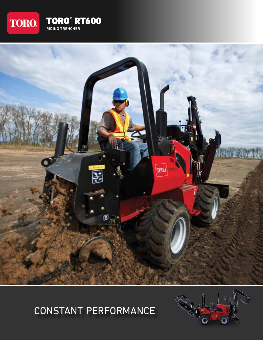



# CONSTANT PERFORMANCE

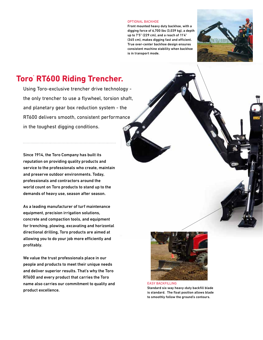#### OPTIONAL BACKHOE

Front mounted heavy duty backhoe, with a digging force of 6,700 lbs (3,039 kg), a depth up to 7'5" (229 cm), and a reach of 11'4" (345 cm), makes digging fast and efficient. True over-center backhoe design ensures consistent machine stability when backhoe is in transport mode.



## **Toro® RT600 Riding Trencher.**

Using Toro-exclusive trencher drive technology the only trencher to use a flywheel, torsion shaft, and planetary gear box reduction system - the RT600 delivers smooth, consistent performance in the toughest digging conditions.

Since 1914, the Toro Company has built its reputation on providing quality products and service to the professionals who create, maintain and preserve outdoor environments. Today, professionals and contractors around the world count on Toro products to stand up to the demands of heavy use, season after season.

As a leading manufacturer of turf maintenance equipment, precision irrigation solutions, concrete and compaction tools, and equipment for trenching, plowing, excavating and horizontal directional drilling, Toro products are aimed at allowing you to do your job more efficiently and profitably.

We value the trust professionals place in our people and products to meet their unique needs and deliver superior results. That's why the Toro RT600 and every product that carries the Toro name also carries our commitment to quality and product excellence.



Standard six-way heavy-duty backfill blade is standard. The float position allows blade to smoothly follow the ground's contours.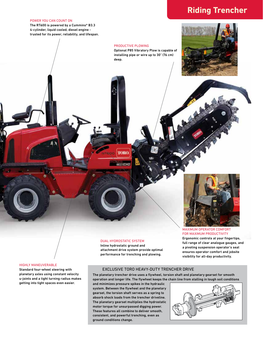## **Riding Trencher**

#### POWER YOU CAN COUNT ON

The RT600 is powered by a Cummins® B3.3 4-cylinder, liquid cooled, diesel engine trusted for its power, reliability, and lifespan.

#### PRODUCTIVE PLOWING

Optional P85 Vibratory Plow is capable of installing pipe or wire up to 30" (76 cm) deep.



MAXIMUM OPERATOR COMFORT FOR MAXIMUM PRODUCTIVITY

Ergonomic controls at your fingertips, full range of clear analogue gauges, and a pivoting suspension operator's seat ensures operator comfort and jobsite visibility for all-day productivity.

## HIGHLY MANEUVERABLE

Standard four-wheel steering with planetary axles using constant velocity u-joints and a tight turning radius makes getting into tight spaces even easier.

### DUAL HYDROSTATIC SYSTEM Inline hydrostatic ground and

**TORO** 

TRENCH

attachment drive system provide optimal performance for trenching and plowing.

## EXCLUSIVE TORO HEAVY-DUTY TRENCHER DRIVE

The planetary trencher drive uses a flywheel, torsion shaft and planetary gearset for smooth operation and longer life. The flywheel keeps the chain line from stalling in tough soil conditions

and minimizes pressure spikes in the hydraulic system. Between the flywheel and the planetary gearset, the torsion shaft serves as a spring to absorb shock loads from the trencher driveline. The planetary gearset multiplies the hydrostatic motor torque for unsurpassed digging power. These features all combine to deliver smooth, consistent, and powerful trenching, even as ground conditions change.